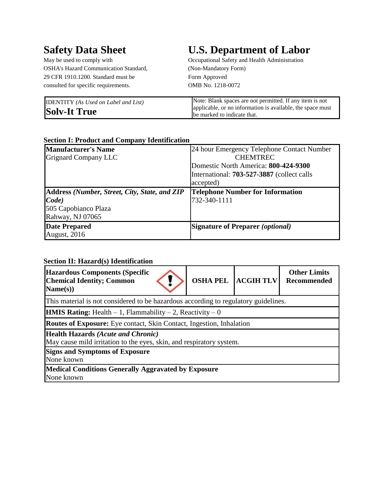OSHA's Hazard Communication Standard, (Non-Mandatory Form) 29 CFR 1910.1200. Standard must be Form Approved consulted for specific requirements. OMB No. 1218-0072

# **Safety Data Sheet U.S. Department of Labor**

May be used to comply with Occupational Safety and Health Administration

| <b>IDENTITY</b> (As Used on Label and List) | Note: Blank spaces are not permitted. If any item is not                                  |
|---------------------------------------------|-------------------------------------------------------------------------------------------|
| <b>Solv-It True</b>                         | applicable, or no information is available, the space must<br>be marked to indicate that. |

#### **Section I: Product and Company Identification**

| <b>Manufacturer's Name</b>                           | 24 hour Emergency Telephone Contact Number        |
|------------------------------------------------------|---------------------------------------------------|
| <b>Grignard Company LLC</b>                          | <b>CHEMTREC</b>                                   |
|                                                      | Domestic North America: 800-424-9300              |
|                                                      | International: <b>703-527-3887</b> (collect calls |
|                                                      | accepted)                                         |
| <b>Address (Number, Street, City, State, and ZIP</b> | <b>Telephone Number for Information</b>           |
| Code)                                                | 732-340-1111                                      |
| 505 Capobianco Plaza                                 |                                                   |
| Rahway, NJ 07065                                     |                                                   |
| <b>Date Prepared</b>                                 | <b>Signature of Preparer (optional)</b>           |
| August, 2016                                         |                                                   |

#### **Section II: Hazard(s) Identification**

| <b>Hazardous Components (Specific</b><br><b>Chemical Identity; Common</b><br>Name(s))                             | <b>OSHA PEL</b> | <b>ACGIHTLV</b> | <b>Other Limits</b><br>Recommended |  |  |
|-------------------------------------------------------------------------------------------------------------------|-----------------|-----------------|------------------------------------|--|--|
| This material is not considered to be hazardous according to regulatory guidelines.                               |                 |                 |                                    |  |  |
| <b>HMIS Rating:</b> Health $-1$ , Flammability $-2$ , Reactivity $-0$                                             |                 |                 |                                    |  |  |
| <b>Routes of Exposure:</b> Eye contact, Skin Contact, Ingestion, Inhalation                                       |                 |                 |                                    |  |  |
| <b>Health Hazards (Acute and Chronic)</b><br>May cause mild irritation to the eyes, skin, and respiratory system. |                 |                 |                                    |  |  |
| <b>Signs and Symptoms of Exposure</b><br>None known                                                               |                 |                 |                                    |  |  |
| Medical Conditions Generally Aggravated by Exposure<br>None known                                                 |                 |                 |                                    |  |  |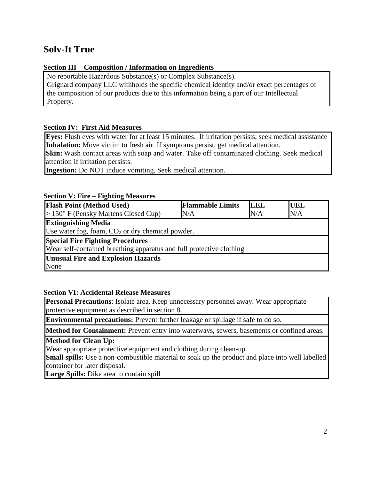### **Section III – Composition / Information on Ingredients**

No reportable Hazardous Substance(s) or Complex Substance(s).

Grignard company LLC withholds the specific chemical identity and/or exact percentages of the composition of our products due to this information being a part of our Intellectual Property.

### **Section IV: First Aid Measures**

**Eyes:** Flush eyes with water for at least 15 minutes. If irritation persists, seek medical assistance **Inhalation:** Move victim to fresh air. If symptoms persist, get medical attention.

**Skin:** Wash contact areas with soap and water. Take off contaminated clothing. Seek medical attention if irritation persists.

**Ingestion:** Do NOT induce vomiting. Seek medical attention.

### **Section V: Fire – Fighting Measures**

| <b>Flash Point (Method Used)</b>                                     | <b>Flammable Limits</b> | <b>LEL</b> | <b>UEL</b> |  |
|----------------------------------------------------------------------|-------------------------|------------|------------|--|
| $> 150^{\circ}$ F (Pensky Martens Closed Cup)                        | N/A                     | N/A        | N/A        |  |
| <b>Extinguishing Media</b>                                           |                         |            |            |  |
| Use water fog, foam, $CO2$ or dry chemical powder.                   |                         |            |            |  |
| <b>Special Fire Fighting Procedures</b>                              |                         |            |            |  |
| Wear self-contained breathing apparatus and full protective clothing |                         |            |            |  |
| <b>Unusual Fire and Explosion Hazards</b>                            |                         |            |            |  |
| None                                                                 |                         |            |            |  |

### **Section VI: Accidental Release Measures**

**Personal Precautions**: Isolate area. Keep unnecessary personnel away. Wear appropriate protective equipment as described in section 8.

**Environmental precautions:** Prevent further leakage or spillage if safe to do so.

**Method for Containment:** Prevent entry into waterways, sewers, basements or confined areas.

**Method for Clean Up:**

Wear appropriate protective equipment and clothing during clean-up

**Small spills:** Use a non-combustible material to soak up the product and place into well labelled container for later disposal.

**Large Spills:** Dike area to contain spill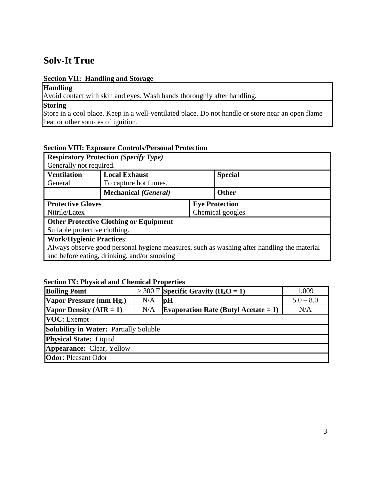### **Section VII: Handling and Storage**

**Handling**

Avoid contact with skin and eyes. Wash hands thoroughly after handling.

# **Storing**

Store in a cool place. Keep in a well-ventilated place. Do not handle or store near an open flame heat or other sources of ignition.

### **Section VIII: Exposure Controls/Personal Protection**

| Generally not required.         | <b>Respiratory Protection (Specify Type)</b>  |                       |                                                                                            |  |
|---------------------------------|-----------------------------------------------|-----------------------|--------------------------------------------------------------------------------------------|--|
| <b>Ventilation</b><br>General   | <b>Local Exhaust</b><br>To capture hot fumes. |                       | <b>Special</b>                                                                             |  |
|                                 | <b>Mechanical</b> ( <i>General</i> )          |                       | <b>Other</b>                                                                               |  |
| <b>Protective Gloves</b>        |                                               | <b>Eye Protection</b> |                                                                                            |  |
| Nitrile/Latex                   |                                               | Chemical googles.     |                                                                                            |  |
|                                 | <b>Other Protective Clothing or Equipment</b> |                       |                                                                                            |  |
| Suitable protective clothing.   |                                               |                       |                                                                                            |  |
| <b>Work/Hygienic Practices:</b> |                                               |                       |                                                                                            |  |
|                                 |                                               |                       | Always observe good personal hygiene measures, such as washing after handling the material |  |
|                                 | and before eating, drinking, and/or smoking   |                       |                                                                                            |  |

#### **Section IX: Physical and Chemical Properties**

| <b>Boiling Point</b>                          |     | $>$ 300 F Specific Gravity (H <sub>2</sub> O = 1) | 1.009       |  |
|-----------------------------------------------|-----|---------------------------------------------------|-------------|--|
| Vapor Pressure (mm Hg.)                       | N/A | <sub>pH</sub>                                     | $5.0 - 8.0$ |  |
| Vapor Density $(AIR = 1)$                     | N/A | <b>Evaporation Rate (Butyl Acetate = 1)</b>       | N/A         |  |
| <b>VOC</b> : Exempt                           |     |                                                   |             |  |
| <b>Solubility in Water: Partially Soluble</b> |     |                                                   |             |  |
| <b>Physical State:</b> Liquid                 |     |                                                   |             |  |
| <b>Appearance: Clear, Yellow</b>              |     |                                                   |             |  |
| <b>Odor:</b> Pleasant Odor                    |     |                                                   |             |  |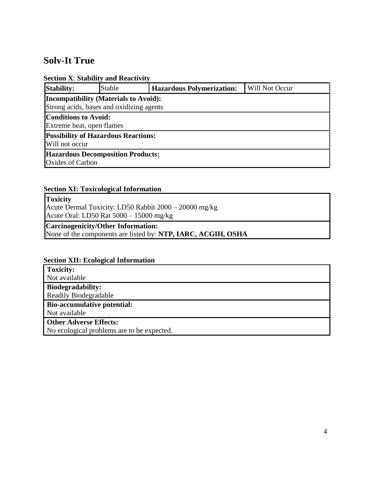### **Section X**: **Stability and Reactivity**

| <b>Stability:</b>                                                   | Stable                                       | <b>Hazardous Polymerization:</b> | Will Not Occur |  |  |  |
|---------------------------------------------------------------------|----------------------------------------------|----------------------------------|----------------|--|--|--|
|                                                                     | <b>Incompatibility (Materials to Avoid):</b> |                                  |                |  |  |  |
| Strong acids, bases and oxidizing agents                            |                                              |                                  |                |  |  |  |
| <b>Conditions to Avoid:</b><br>Extreme heat, open flames            |                                              |                                  |                |  |  |  |
| <b>Possibility of Hazardous Reactions:</b><br>Will not occur        |                                              |                                  |                |  |  |  |
| <b>Hazardous Decomposition Products:</b><br><b>Oxides of Carbon</b> |                                              |                                  |                |  |  |  |

# **Section XI: Toxicological Information**

| <b>Toxicity</b>                                       |  |
|-------------------------------------------------------|--|
| Acute Dermal Toxicity: LD50 Rabbit 2000 – 20000 mg/kg |  |
| Acute Oral: LD50 Rat $5000 - 15000$ mg/kg             |  |

# **Carcinogenicity/Other Information:**

None of the components are listed by: **NTP, IARC, ACGIH, OSHA**

### **Section XII: Ecological Information**

**Toxicity:**

Not available

**Biodegradability:** Readily Biodegradable

# **Bio-accumulative potential:**

Not available

**Other Adverse Effects:**

No ecological problems are to be expected.